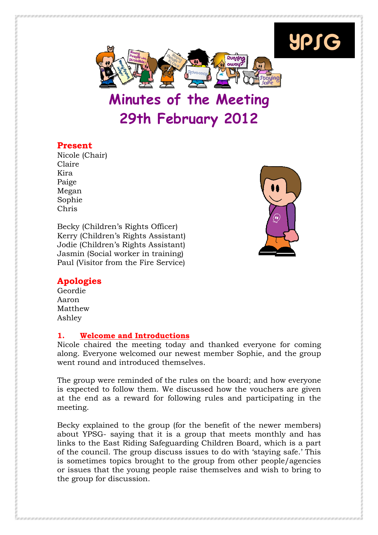

# 29th February 2012

# Present

Nicole (Chair) Claire Kira Paige Megan Sophie Chris

Becky (Children's Rights Officer) Kerry (Children's Rights Assistant) Jodie (Children's Rights Assistant) Jasmin (Social worker in training) Paul (Visitor from the Fire Service)



YPSG

# Apologies

Geordie Aaron Matthew Ashley

# 1. Welcome and Introductions

Nicole chaired the meeting today and thanked everyone for coming along. Everyone welcomed our newest member Sophie, and the group went round and introduced themselves.

The group were reminded of the rules on the board; and how everyone is expected to follow them. We discussed how the vouchers are given at the end as a reward for following rules and participating in the meeting.

Becky explained to the group (for the benefit of the newer members) about YPSG- saying that it is a group that meets monthly and has links to the East Riding Safeguarding Children Board, which is a part of the council. The group discuss issues to do with 'staying safe.' This is sometimes topics brought to the group from other people/agencies or issues that the young people raise themselves and wish to bring to the group for discussion.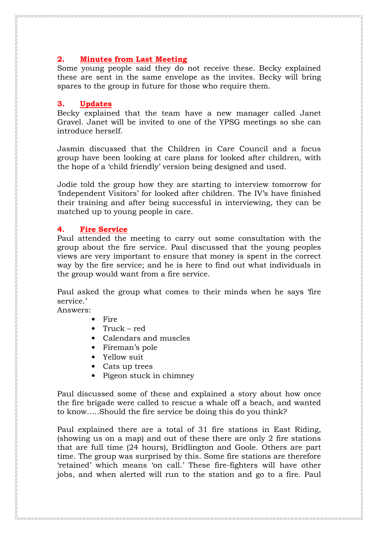## 2. Minutes from Last Meeting

Some young people said they do not receive these. Becky explained these are sent in the same envelope as the invites. Becky will bring spares to the group in future for those who require them.

#### 3. Updates

Becky explained that the team have a new manager called Janet Gravel. Janet will be invited to one of the YPSG meetings so she can introduce herself.

Jasmin discussed that the Children in Care Council and a focus group have been looking at care plans for looked after children, with the hope of a 'child friendly' version being designed and used.

Jodie told the group how they are starting to interview tomorrow for 'Independent Visitors' for looked after children. The IV's have finished their training and after being successful in interviewing, they can be matched up to young people in care.

#### 4. Fire Service

Paul attended the meeting to carry out some consultation with the group about the fire service. Paul discussed that the young peoples views are very important to ensure that money is spent in the correct way by the fire service; and he is here to find out what individuals in the group would want from a fire service.

Paul asked the group what comes to their minds when he says 'fire service.'

Answers:

- Fire
- Truck red
- Calendars and muscles
- Fireman's pole
- Yellow suit
- Cats up trees
- Pigeon stuck in chimney

Paul discussed some of these and explained a story about how once the fire brigade were called to rescue a whale off a beach, and wanted to know…..Should the fire service be doing this do you think?

Paul explained there are a total of 31 fire stations in East Riding, (showing us on a map) and out of these there are only 2 fire stations that are full time (24 hours), Bridlington and Goole. Others are part time. The group was surprised by this. Some fire stations are therefore 'retained' which means 'on call.' These fire-fighters will have other jobs, and when alerted will run to the station and go to a fire. Paul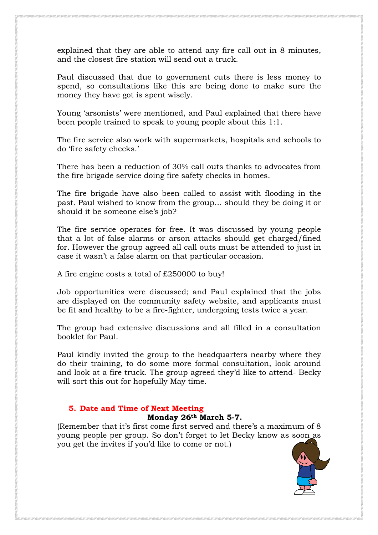explained that they are able to attend any fire call out in 8 minutes, and the closest fire station will send out a truck.

Paul discussed that due to government cuts there is less money to spend, so consultations like this are being done to make sure the money they have got is spent wisely.

Young 'arsonists' were mentioned, and Paul explained that there have been people trained to speak to young people about this 1:1.

The fire service also work with supermarkets, hospitals and schools to do 'fire safety checks.'

There has been a reduction of 30% call outs thanks to advocates from the fire brigade service doing fire safety checks in homes.

The fire brigade have also been called to assist with flooding in the past. Paul wished to know from the group… should they be doing it or should it be someone else's job?

The fire service operates for free. It was discussed by young people that a lot of false alarms or arson attacks should get charged/fined for. However the group agreed all call outs must be attended to just in case it wasn't a false alarm on that particular occasion.

A fire engine costs a total of £250000 to buy!

Job opportunities were discussed; and Paul explained that the jobs are displayed on the community safety website, and applicants must be fit and healthy to be a fire-fighter, undergoing tests twice a year.

The group had extensive discussions and all filled in a consultation booklet for Paul.

Paul kindly invited the group to the headquarters nearby where they do their training, to do some more formal consultation, look around and look at a fire truck. The group agreed they'd like to attend- Becky will sort this out for hopefully May time.

# 5. Date and Time of Next Meeting

#### Monday 26th March 5-7.

(Remember that it's first come first served and there's a maximum of 8 young people per group. So don't forget to let Becky know as soon as you get the invites if you'd like to come or not.)